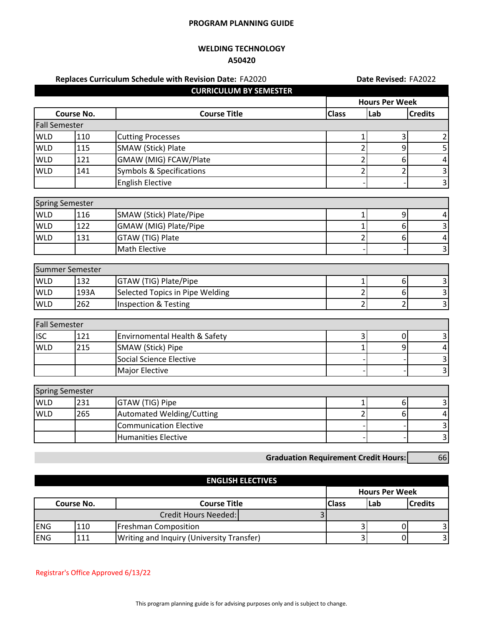## **PROGRAM PLANNING GUIDE**

## **WELDING TECHNOLOGY A50420**

| Replaces Curriculum Schedule with Revision Date: FA2020 |                               |                                                                   |                | Date Revised: FA2022  |                             |  |
|---------------------------------------------------------|-------------------------------|-------------------------------------------------------------------|----------------|-----------------------|-----------------------------|--|
|                                                         |                               | <b>CURRICULUM BY SEMESTER</b>                                     |                |                       |                             |  |
|                                                         |                               |                                                                   |                | <b>Hours Per Week</b> |                             |  |
|                                                         | <b>Course No.</b>             | <b>Course Title</b>                                               | <b>Class</b>   | Lab                   | <b>Credits</b>              |  |
| <b>Fall Semester</b>                                    |                               |                                                                   |                |                       |                             |  |
| <b>WLD</b>                                              | 110                           | <b>Cutting Processes</b>                                          | 1              | 3                     | 2                           |  |
| <b>WLD</b>                                              | 115                           | <b>SMAW (Stick) Plate</b>                                         | $\overline{2}$ | 9                     | 5                           |  |
| <b>WLD</b>                                              | 121                           | GMAW (MIG) FCAW/Plate                                             | 2              | 6                     | $\pmb{4}$                   |  |
| <b>WLD</b>                                              | 141                           | <b>Symbols &amp; Specifications</b>                               | $\overline{2}$ | $\overline{2}$        | $\overline{\mathbf{3}}$     |  |
|                                                         |                               | <b>English Elective</b>                                           |                |                       | $\overline{3}$              |  |
|                                                         | <b>Spring Semester</b>        |                                                                   |                |                       |                             |  |
| <b>WLD</b>                                              | 116                           | SMAW (Stick) Plate/Pipe                                           | 1              | 9                     | 4                           |  |
| <b>WLD</b>                                              | 122                           | GMAW (MIG) Plate/Pipe                                             |                | 6                     | $\overline{\mathbf{3}}$     |  |
| <b>WLD</b>                                              | 131                           | GTAW (TIG) Plate                                                  | 2              | 6                     | $\pmb{4}$                   |  |
|                                                         |                               | Math Elective                                                     |                |                       | $\overline{3}$              |  |
|                                                         |                               |                                                                   |                |                       |                             |  |
|                                                         | Summer Semester               |                                                                   |                |                       |                             |  |
| <b>WLD</b>                                              | 132                           | GTAW (TIG) Plate/Pipe                                             | $\mathbf{1}$   | 6                     | $\vert$ 3                   |  |
| <b>WLD</b>                                              | 193A                          | Selected Topics in Pipe Welding                                   | $\overline{2}$ | 6                     | $\overline{\mathbf{3}}$     |  |
| <b>WLD</b>                                              | 262                           | <b>Inspection &amp; Testing</b>                                   | $\overline{2}$ | $\overline{2}$        | $\frac{1}{3}$               |  |
| <b>Fall Semester</b>                                    |                               |                                                                   |                |                       |                             |  |
| <b>ISC</b>                                              | 121                           | Envirnomental Health & Safety                                     | 3              | 0                     | $\vert$ 3                   |  |
| <b>WLD</b>                                              | 215                           | SMAW (Stick) Pipe                                                 | $\overline{1}$ | 9                     | $\pmb{4}$                   |  |
|                                                         |                               | <b>Social Science Elective</b>                                    |                |                       | $\mathbf{3}$                |  |
|                                                         |                               | Major Elective                                                    |                |                       | υ                           |  |
|                                                         |                               |                                                                   |                |                       |                             |  |
| <b>WLD</b>                                              | <b>Spring Semester</b><br>231 |                                                                   | $\mathbf{1}$   | 6                     |                             |  |
| <b>WLD</b>                                              | 265                           | GTAW (TIG) Pipe                                                   | $\overline{2}$ |                       | $\vert$ 3                   |  |
|                                                         |                               | <b>Automated Welding/Cutting</b><br><b>Communication Elective</b> |                | 6                     | $\pmb{4}$<br>$\overline{3}$ |  |
|                                                         |                               | <b>Humanities Elective</b>                                        |                |                       | $\overline{3}$              |  |
|                                                         |                               |                                                                   |                |                       |                             |  |

**Graduation Requirement Credit Hours:** 66

|            | <b>ENGLISH ELECTIVES</b>          |                                                  |              |      |                       |    |  |  |
|------------|-----------------------------------|--------------------------------------------------|--------------|------|-----------------------|----|--|--|
|            |                                   |                                                  |              |      | <b>Hours Per Week</b> |    |  |  |
|            | <b>Course Title</b><br>Course No. |                                                  | <b>Class</b> | lLab | <b>Credits</b>        |    |  |  |
|            |                                   | Credit Hours Needed:                             |              |      |                       |    |  |  |
| <b>ENG</b> | 110                               | <b>Freshman Composition</b>                      |              |      |                       |    |  |  |
| <b>ENG</b> | 111                               | <b>Writing and Inquiry (University Transfer)</b> |              |      |                       | 31 |  |  |

Registrar's Office Approved 6/13/22